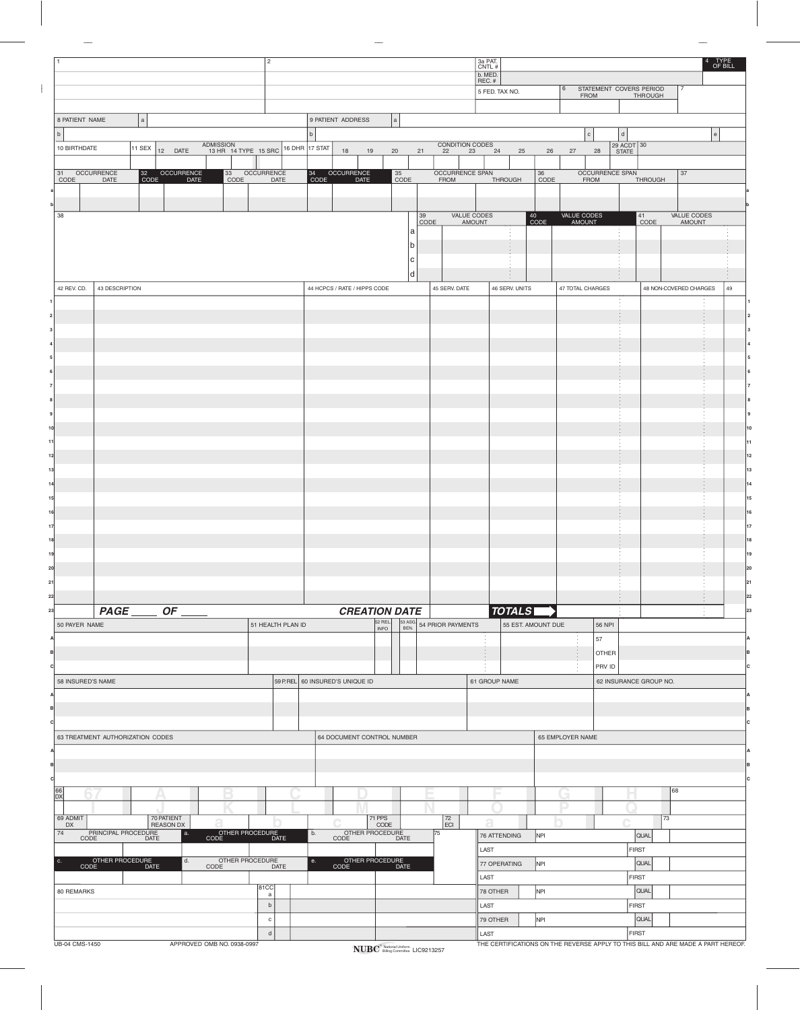| $\overline{\phantom{a}}$ | $-$ |  | $\sim$ |
|--------------------------|-----|--|--------|
|                          |     |  |        |

**a b** 

**A B** 

**A B C** 

**A B** 

UB-04 CMS-1450 **APPROVED OMB NO. 0938-0997** 

| $\overline{1}$    |                                  |                     |                                |   | $\overline{c}$                                   |             |                                 |                       |                          |                                                                 | 3a PAT.<br>CNTL #<br>b. MED.<br>REC.# | 5 FED. TAX NO.     |            | 6                        |                 | STATEMENT COVERS PERIOD     |                | 4<br>7                       | TYPE<br>OF BILL |
|-------------------|----------------------------------|---------------------|--------------------------------|---|--------------------------------------------------|-------------|---------------------------------|-----------------------|--------------------------|-----------------------------------------------------------------|---------------------------------------|--------------------|------------|--------------------------|-----------------|-----------------------------|----------------|------------------------------|-----------------|
|                   |                                  |                     |                                |   |                                                  |             |                                 |                       |                          |                                                                 |                                       |                    |            | <b>FROM</b>              |                 |                             | <b>THROUGH</b> |                              |                 |
| 8 PATIENT NAME    |                                  | a                   |                                |   |                                                  |             | 9 PATIENT ADDRESS               |                       | a                        |                                                                 |                                       |                    |            |                          |                 |                             |                |                              |                 |
| $\mathsf{b}$      |                                  |                     |                                |   |                                                  | $\mathsf b$ |                                 |                       |                          |                                                                 | CONDITION CODES                       |                    |            | $\mathtt{c}$             |                 | d <br>29 ACDT 30            |                |                              | e               |
| 10 BIRTHDATE      |                                  | 11 SEX              | 12 DATE                        |   | ADMISSION<br>13 HR 14 TYPE 15 SRC 16 DHR 17 STAT |             | 18<br>19                        | 20                    | 21                       |                                                                 | 22 23                                 | 24<br>25           | 26         | 27                       | 28              | <b>STATE</b>                |                |                              |                 |
| 31 OCCURRENCE     |                                  | 32 <sup>(CODE</sup> | OCCURRENCE<br>E DATE           |   | 33 OCCURRENCE<br>CODE DATE                       |             | 34 OCCURRENCE                   |                       | $\frac{35}{\text{CODE}}$ |                                                                 | OCCURRENCE SPAN                       |                    | 36         |                          | OCCURRENCE SPAN |                             |                | 37                           |                 |
| CODE              | DATE                             |                     |                                |   |                                                  | CODE        | DATE                            |                       |                          | <b>FROM</b>                                                     |                                       | THROUGH            | CODE       | FROM                     |                 |                             | THROUGH        |                              |                 |
|                   |                                  |                     |                                |   |                                                  |             |                                 |                       |                          |                                                                 |                                       |                    |            |                          |                 |                             |                |                              |                 |
| $38\,$            |                                  |                     |                                |   |                                                  |             |                                 |                       | 39<br> a<br> b           | CODE                                                            | VALUE CODES<br><b>AMOUNT</b>          |                    | 40<br>CODE | VALUE CODES<br>AMOUNT    |                 | 41                          | CODE           | VALUE CODES<br><b>AMOUNT</b> |                 |
|                   |                                  |                     |                                |   |                                                  |             |                                 |                       | c<br>ld.                 |                                                                 |                                       |                    |            |                          |                 |                             |                |                              |                 |
| 42 REV. CD.       | 43 DESCRIPTION                   |                     |                                |   |                                                  |             | 44 HCPCS / RATE / HIPPS CODE    |                       |                          | 45 SERV. DATE                                                   |                                       | 46 SERV. UNITS     |            | 47 TOTAL CHARGES         |                 |                             |                | 48 NON-COVERED CHARGES       | 49              |
|                   |                                  |                     |                                |   |                                                  |             |                                 |                       |                          |                                                                 |                                       |                    |            |                          |                 |                             |                |                              |                 |
|                   |                                  |                     |                                |   |                                                  |             |                                 |                       |                          |                                                                 |                                       |                    |            |                          |                 |                             |                |                              |                 |
|                   |                                  |                     |                                |   |                                                  |             |                                 |                       |                          |                                                                 |                                       |                    |            |                          |                 |                             |                |                              |                 |
|                   |                                  |                     |                                |   |                                                  |             |                                 |                       |                          |                                                                 |                                       |                    |            |                          |                 |                             |                |                              |                 |
|                   |                                  |                     |                                |   |                                                  |             |                                 |                       |                          |                                                                 |                                       |                    |            |                          |                 |                             |                |                              |                 |
|                   |                                  |                     |                                |   |                                                  |             |                                 |                       |                          |                                                                 |                                       |                    |            |                          |                 |                             |                |                              |                 |
|                   |                                  |                     |                                |   |                                                  |             |                                 |                       |                          |                                                                 |                                       |                    |            |                          |                 |                             |                |                              |                 |
|                   |                                  |                     |                                |   |                                                  |             |                                 |                       |                          |                                                                 |                                       |                    |            |                          |                 |                             |                |                              |                 |
|                   |                                  |                     |                                |   |                                                  |             |                                 |                       |                          |                                                                 |                                       |                    |            |                          |                 |                             |                |                              |                 |
|                   |                                  |                     |                                |   |                                                  |             |                                 |                       |                          |                                                                 |                                       |                    |            |                          |                 |                             |                |                              |                 |
|                   |                                  |                     |                                |   |                                                  |             |                                 |                       |                          |                                                                 |                                       |                    |            |                          |                 |                             |                |                              |                 |
|                   |                                  |                     |                                |   |                                                  |             |                                 |                       |                          |                                                                 |                                       |                    |            |                          |                 |                             |                |                              |                 |
|                   |                                  |                     |                                |   |                                                  |             |                                 |                       |                          |                                                                 |                                       |                    |            |                          |                 |                             |                |                              |                 |
|                   |                                  |                     |                                |   |                                                  |             |                                 |                       |                          |                                                                 |                                       |                    |            |                          |                 |                             |                |                              |                 |
|                   |                                  |                     |                                |   |                                                  |             |                                 |                       |                          |                                                                 |                                       |                    |            |                          |                 |                             |                |                              |                 |
|                   |                                  |                     |                                |   |                                                  |             |                                 |                       |                          |                                                                 |                                       |                    |            |                          |                 |                             |                |                              |                 |
|                   |                                  |                     |                                |   |                                                  |             |                                 |                       |                          |                                                                 |                                       |                    |            |                          |                 |                             |                |                              |                 |
|                   |                                  |                     |                                |   |                                                  |             |                                 |                       |                          |                                                                 |                                       |                    |            |                          |                 |                             |                |                              |                 |
|                   |                                  |                     |                                |   |                                                  |             |                                 |                       |                          |                                                                 |                                       |                    |            |                          |                 |                             |                |                              |                 |
|                   | <b>PAGE</b>                      |                     | OF                             |   |                                                  |             | <b>CREATION DATE</b>            |                       |                          |                                                                 |                                       | <b>TOTALS</b>      |            |                          |                 |                             |                |                              |                 |
| 50 PAYER NAME     |                                  |                     |                                |   | 51 HEALTH PLAN ID                                |             |                                 | 52 REL.<br>INFO       | 53 ASG.<br>BEN.          | 54 PRIOR PAYMENTS                                               |                                       | 55 EST. AMOUNT DUE |            |                          | <b>56 NPI</b>   |                             |                |                              |                 |
|                   |                                  |                     |                                |   |                                                  |             |                                 |                       |                          |                                                                 |                                       |                    |            |                          | 57              |                             |                |                              |                 |
|                   |                                  |                     |                                |   |                                                  |             |                                 |                       |                          |                                                                 |                                       |                    |            |                          | OTHER<br>PRV ID |                             |                |                              |                 |
| 58 INSURED'S NAME |                                  |                     |                                |   |                                                  |             | 59 P.REL 60 INSURED'S UNIQUE ID |                       |                          |                                                                 |                                       | 61 GROUP NAME      |            |                          |                 | 62 INSURANCE GROUP NO.      |                |                              |                 |
|                   |                                  |                     |                                |   |                                                  |             |                                 |                       |                          |                                                                 |                                       |                    |            |                          |                 |                             |                |                              |                 |
|                   |                                  |                     |                                |   |                                                  |             |                                 |                       |                          |                                                                 |                                       |                    |            |                          |                 |                             |                |                              |                 |
|                   |                                  |                     |                                |   |                                                  |             |                                 |                       |                          |                                                                 |                                       |                    |            |                          |                 |                             |                |                              |                 |
|                   | 63 TREATMENT AUTHORIZATION CODES |                     |                                |   |                                                  |             | 64 DOCUMENT CONTROL NUMBER      |                       |                          |                                                                 |                                       |                    |            | 65 EMPLOYER NAME         |                 |                             |                |                              |                 |
|                   |                                  |                     |                                |   |                                                  |             |                                 |                       |                          |                                                                 |                                       |                    |            |                          |                 |                             |                |                              |                 |
|                   |                                  |                     |                                |   |                                                  |             |                                 |                       |                          |                                                                 |                                       |                    |            |                          |                 |                             |                |                              |                 |
| 66<br>DX          |                                  |                     |                                |   |                                                  |             |                                 |                       |                          |                                                                 |                                       |                    |            | $\overline{\phantom{a}}$ |                 |                             |                | 68                           |                 |
|                   |                                  |                     |                                |   |                                                  |             |                                 |                       |                          |                                                                 |                                       |                    |            | D                        |                 |                             |                |                              |                 |
| 69 ADMIT<br>DX    |                                  |                     | 70 PATIENT<br><b>REASON DX</b> | я |                                                  |             |                                 | <b>71 PPS</b><br>CODE |                          | $\begin{array}{ c } \hline 72 \\ \hline \text{ECI} \end{array}$ | a                                     |                    |            |                          |                 |                             | 73             |                              |                 |
| 74                | PRINCIPAL PROCEDURE<br>CODE DATE |                     | a.                             |   | OTHER PROCEDURE<br>CODE DATE                     | b.          | OTHER PROCEDURE<br>CODE DATE    |                       |                          | 75                                                              |                                       | 76 ATTENDING       | NPI        |                          |                 | <b>QUAL</b>                 |                |                              |                 |
|                   |                                  |                     |                                |   |                                                  |             |                                 |                       |                          |                                                                 | LAST                                  |                    |            |                          |                 | <b>FIRST</b>                |                |                              |                 |
| c.                | OTHER PROCEDURE<br>CODE DATE     |                     | d.                             |   | OTHER PROCEDURE<br>CODE DATE                     | e.          | OTHER PROCEDURE<br>CODE DATE    |                       |                          |                                                                 |                                       | 77 OPERATING       | NPI        |                          |                 | <b>QUAL</b>                 |                |                              |                 |
| 80 REMARKS        |                                  |                     |                                |   | 81CC                                             |             |                                 |                       |                          |                                                                 | LAST                                  | 78 OTHER           | NPI        |                          |                 | <b>FIRST</b><br><b>QUAL</b> |                |                              |                 |
|                   |                                  |                     |                                |   | $\mathbf{a}$                                     |             |                                 |                       |                          |                                                                 |                                       |                    |            |                          |                 |                             |                |                              |                 |

c NPI 79 OTHER

b LAST FIRST

d Last the contract of the contract of the contract of the contract of the contract of the contract of the contract of the contract of the contract of the contract of the contract of the contract of the contract of the con

THE CERTIFICATIONS ON THE REVERSE APPLY TO THIS BILL AND ARE MADE A PART HEREOF.<br>National Uniform of Demission of Demission of Demission of Demission of Demission of Demission of Demission of D

QUAL

**a b** 

**A B C** 

**A B C** 

**A B C**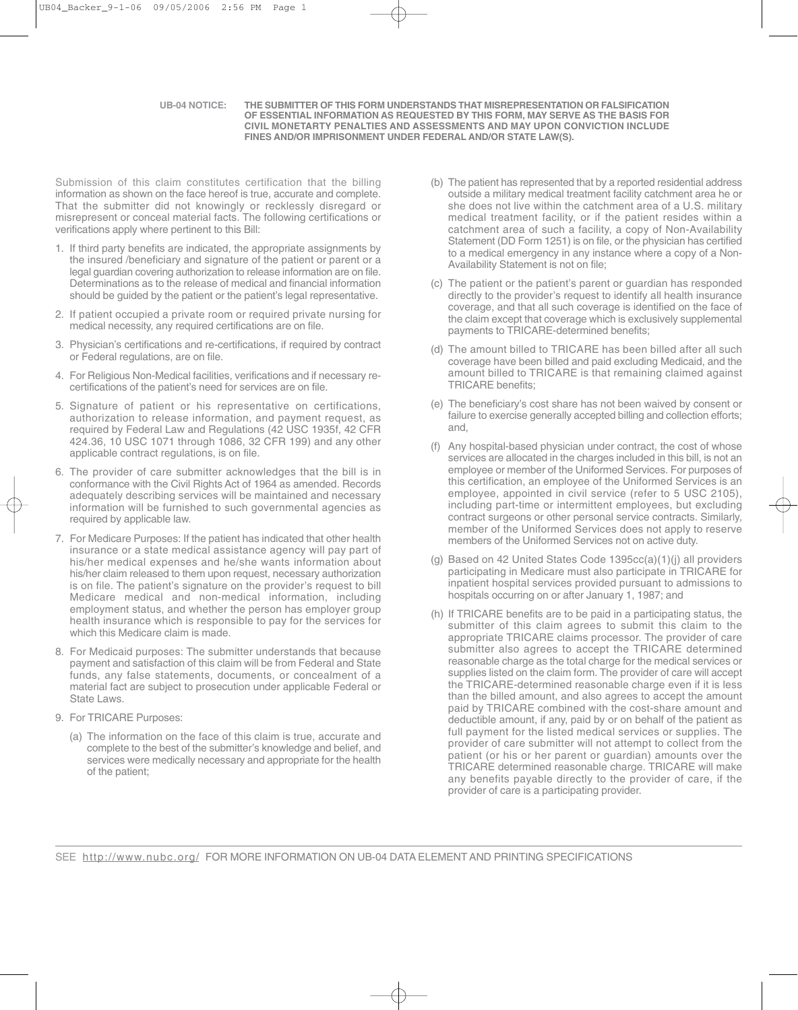**UB-04 NOTICE: THE SUBMITTER OF THIS FORM UNDERSTANDS THAT MISREPRESENTATION OR FALSIFICATION OF ESSENTIAL INFORMATION AS REQUESTED BY THIS FORM, MAY SERVE AS THE BASIS FOR CIVIL MONETARTY PENALTIES AND ASSESSMENTS AND MAY UPON CONVICTION INCLUDE FINES AND/OR IMPRISONMENT UNDER FEDERAL AND/OR STATE LAW(S).** 

Submission of this claim constitutes certification that the billing information as shown on the face hereof is true, accurate and complete. That the submitter did not knowingly or recklessly disregard or misrepresent or conceal material facts. The following certifications or verifications apply where pertinent to this Bill:

- 1. If third party benefits are indicated, the appropriate assignments by the insured /beneficiary and signature of the patient or parent or a legal guardian covering authorization to release information are on file. Determinations as to the release of medical and financial information should be guided by the patient or the patient's legal representative.
- 2. If patient occupied a private room or required private nursing for medical necessity, any required certifications are on file.
- 3. Physician's certifications and re-certifications, if required by contract or Federal regulations, are on file.
- 4. For Religious Non-Medical facilities, verifications and if necessary recertifications of the patient's need for services are on file.
- 5. Signature of patient or his representative on certifications, authorization to release information, and payment request, as required by Federal Law and Regulations (42 USC 1935f, 42 CFR 424.36, 10 USC 1071 through 1086, 32 CFR 199) and any other applicable contract regulations, is on file.
- 6. The provider of care submitter acknowledges that the bill is in conformance with the Civil Rights Act of 1964 as amended. Records adequately describing services will be maintained and necessary information will be furnished to such governmental agencies as required by applicable law.
- 7. For Medicare Purposes: If the patient has indicated that other health insurance or a state medical assistance agency will pay part of his/her medical expenses and he/she wants information about his/her claim released to them upon request, necessary authorization is on file. The patient's signature on the provider's request to bill Medicare medical and non-medical information, including employment status, and whether the person has employer group health insurance which is responsible to pay for the services for which this Medicare claim is made.
- 8. For Medicaid purposes: The submitter understands that because payment and satisfaction of this claim will be from Federal and State funds, any false statements, documents, or concealment of a material fact are subject to prosecution under applicable Federal or State Laws.
- 9. For TRICARE Purposes:
	- (a) The information on the face of this claim is true, accurate and complete to the best of the submitter's knowledge and belief, and services were medically necessary and appropriate for the health of the patient;
- (b) The patient has represented that by a reported residential address outside a military medical treatment facility catchment area he or she does not live within the catchment area of a U.S. military medical treatment facility, or if the patient resides within a catchment area of such a facility, a copy of Non-Availability Statement (DD Form 1251) is on file, or the physician has certified to a medical emergency in any instance where a copy of a Non-Availability Statement is not on file;
- (c) The patient or the patient's parent or guardian has responded directly to the provider's request to identify all health insurance coverage, and that all such coverage is identified on the face of the claim except that coverage which is exclusively supplemental payments to TRICARE-determined benefits;
- (d) The amount billed to TRICARE has been billed after all such coverage have been billed and paid excluding Medicaid, and the amount billed to TRICARE is that remaining claimed against TRICARE benefits;
- (e) The beneficiary's cost share has not been waived by consent or failure to exercise generally accepted billing and collection efforts; and,
- (f) Any hospital-based physician under contract, the cost of whose services are allocated in the charges included in this bill, is not an employee or member of the Uniformed Services. For purposes of this certification, an employee of the Uniformed Services is an employee, appointed in civil service (refer to 5 USC 2105), including part-time or intermittent employees, but excluding contract surgeons or other personal service contracts. Similarly, member of the Uniformed Services does not apply to reserve members of the Uniformed Services not on active duty.
- (g) Based on 42 United States Code 1395cc(a)(1)(j) all providers participating in Medicare must also participate in TRICARE for inpatient hospital services provided pursuant to admissions to hospitals occurring on or after January 1, 1987; and
- (h) If TRICARE benefits are to be paid in a participating status, the submitter of this claim agrees to submit this claim to the appropriate TRICARE claims processor. The provider of care submitter also agrees to accept the TRICARE determined reasonable charge as the total charge for the medical services or supplies listed on the claim form. The provider of care will accept the TRICARE-determined reasonable charge even if it is less than the billed amount, and also agrees to accept the amount paid by TRICARE combined with the cost-share amount and deductible amount, if any, paid by or on behalf of the patient as full payment for the listed medical services or supplies. The provider of care submitter will not attempt to collect from the patient (or his or her parent or guardian) amounts over the TRICARE determined reasonable charge. TRICARE will make any benefits payable directly to the provider of care, if the provider of care is a participating provider.

SEE http://www.nubc.org/ FOR MORE INFORMATION ON UB-04 DATA ELEMENT AND PRINTING SPECIFICATIONS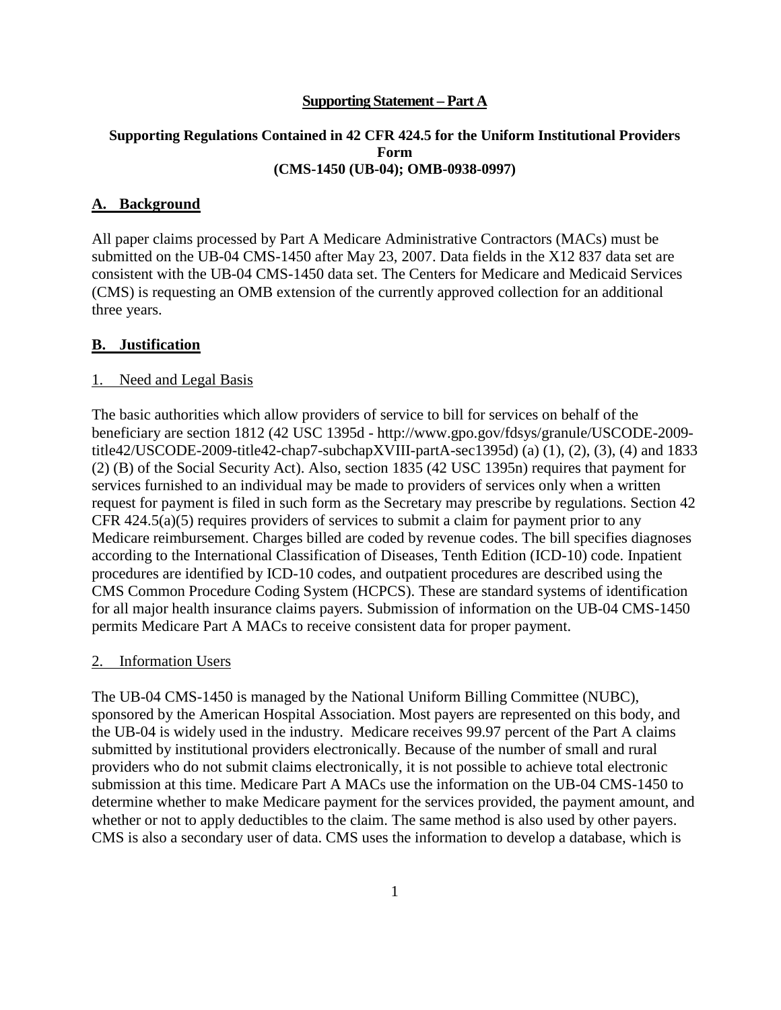#### **Supporting Statement – Part A**

#### **Supporting Regulations Contained in 42 CFR 424.5 for the Uniform Institutional Providers Form (CMS-1450 (UB-04); OMB-0938-0997)**

#### **A. Background**

All paper claims processed by Part A Medicare Administrative Contractors (MACs) must be submitted on the UB-04 CMS-1450 after May 23, 2007. Data fields in the X12 837 data set are consistent with the UB-04 CMS-1450 data set. The Centers for Medicare and Medicaid Services (CMS) is requesting an OMB extension of the currently approved collection for an additional three years.

#### **B. Justification**

#### 1. Need and Legal Basis

The basic authorities which allow providers of service to bill for services on behalf of the beneficiary are section 1812 (42 USC 1395d - http://www.gpo.gov/fdsys/granule/USCODE-2009 title42/USCODE-2009-title42-chap7-subchapXVIII-partA-sec1395d) (a) (1), (2), (3), (4) and 1833 (2) (B) of the Social Security Act). Also, section 1835 (42 USC 1395n) requires that payment for services furnished to an individual may be made to providers of services only when a written request for payment is filed in such form as the Secretary may prescribe by regulations. Section 42 CFR  $424.5(a)(5)$  requires providers of services to submit a claim for payment prior to any Medicare reimbursement. Charges billed are coded by revenue codes. The bill specifies diagnoses according to the International Classification of Diseases, Tenth Edition (ICD-10) code. Inpatient procedures are identified by ICD-10 codes, and outpatient procedures are described using the CMS Common Procedure Coding System (HCPCS). These are standard systems of identification for all major health insurance claims payers. Submission of information on the UB-04 CMS-1450 permits Medicare Part A MACs to receive consistent data for proper payment.

#### 2. Information Users

The UB-04 CMS-1450 is managed by the National Uniform Billing Committee (NUBC), sponsored by the American Hospital Association. Most payers are represented on this body, and the UB-04 is widely used in the industry. Medicare receives 99.97 percent of the Part A claims submitted by institutional providers electronically. Because of the number of small and rural providers who do not submit claims electronically, it is not possible to achieve total electronic submission at this time. Medicare Part A MACs use the information on the UB-04 CMS-1450 to determine whether to make Medicare payment for the services provided, the payment amount, and whether or not to apply deductibles to the claim. The same method is also used by other payers. CMS is also a secondary user of data. CMS uses the information to develop a database, which is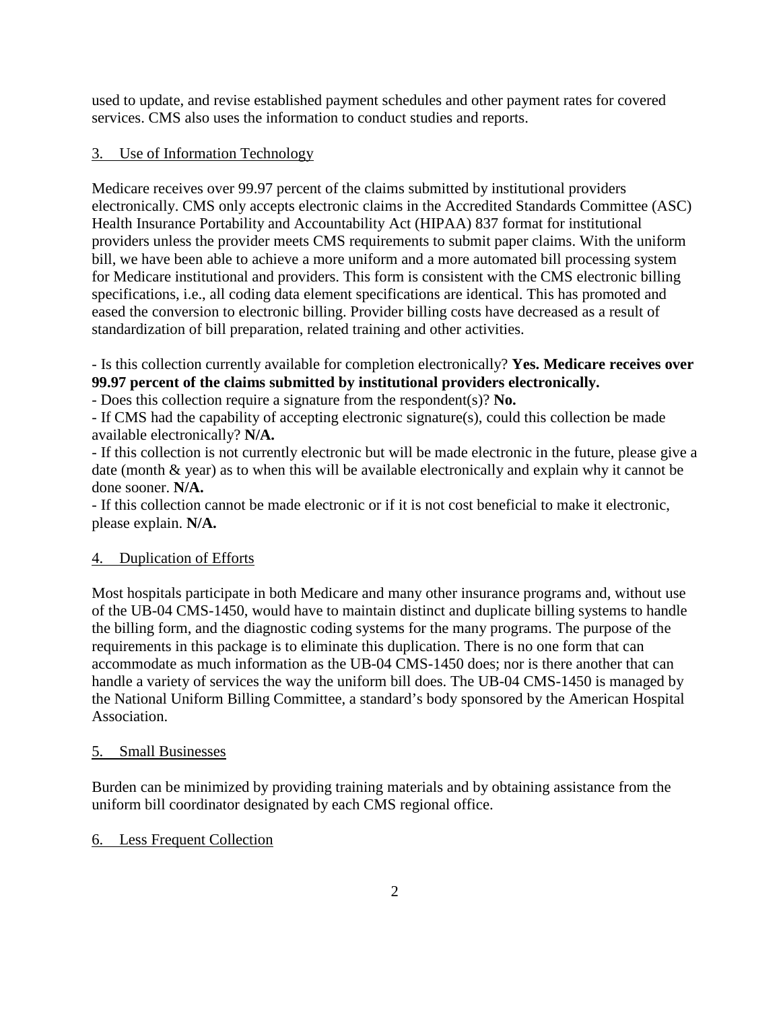used to update, and revise established payment schedules and other payment rates for covered services. CMS also uses the information to conduct studies and reports.

# 3. Use of Information Technology

Medicare receives over 99.97 percent of the claims submitted by institutional providers electronically. CMS only accepts electronic claims in the Accredited Standards Committee (ASC) Health Insurance Portability and Accountability Act (HIPAA) 837 format for institutional providers unless the provider meets CMS requirements to submit paper claims. With the uniform bill, we have been able to achieve a more uniform and a more automated bill processing system for Medicare institutional and providers. This form is consistent with the CMS electronic billing specifications, i.e., all coding data element specifications are identical. This has promoted and eased the conversion to electronic billing. Provider billing costs have decreased as a result of standardization of bill preparation, related training and other activities.

- Is this collection currently available for completion electronically? **Yes. Medicare receives over 99.97 percent of the claims submitted by institutional providers electronically.** 

- Does this collection require a signature from the respondent(s)? **No.**

- If CMS had the capability of accepting electronic signature(s), could this collection be made available electronically? **N/A.**

- If this collection is not currently electronic but will be made electronic in the future, please give a date (month & year) as to when this will be available electronically and explain why it cannot be done sooner. **N/A.**

- If this collection cannot be made electronic or if it is not cost beneficial to make it electronic, please explain. **N/A.**

# 4. Duplication of Efforts

Most hospitals participate in both Medicare and many other insurance programs and, without use of the UB-04 CMS-1450, would have to maintain distinct and duplicate billing systems to handle the billing form, and the diagnostic coding systems for the many programs. The purpose of the requirements in this package is to eliminate this duplication. There is no one form that can accommodate as much information as the UB-04 CMS-1450 does; nor is there another that can handle a variety of services the way the uniform bill does. The UB-04 CMS-1450 is managed by the National Uniform Billing Committee, a standard's body sponsored by the American Hospital Association.

# 5. Small Businesses

Burden can be minimized by providing training materials and by obtaining assistance from the uniform bill coordinator designated by each CMS regional office.

# 6. Less Frequent Collection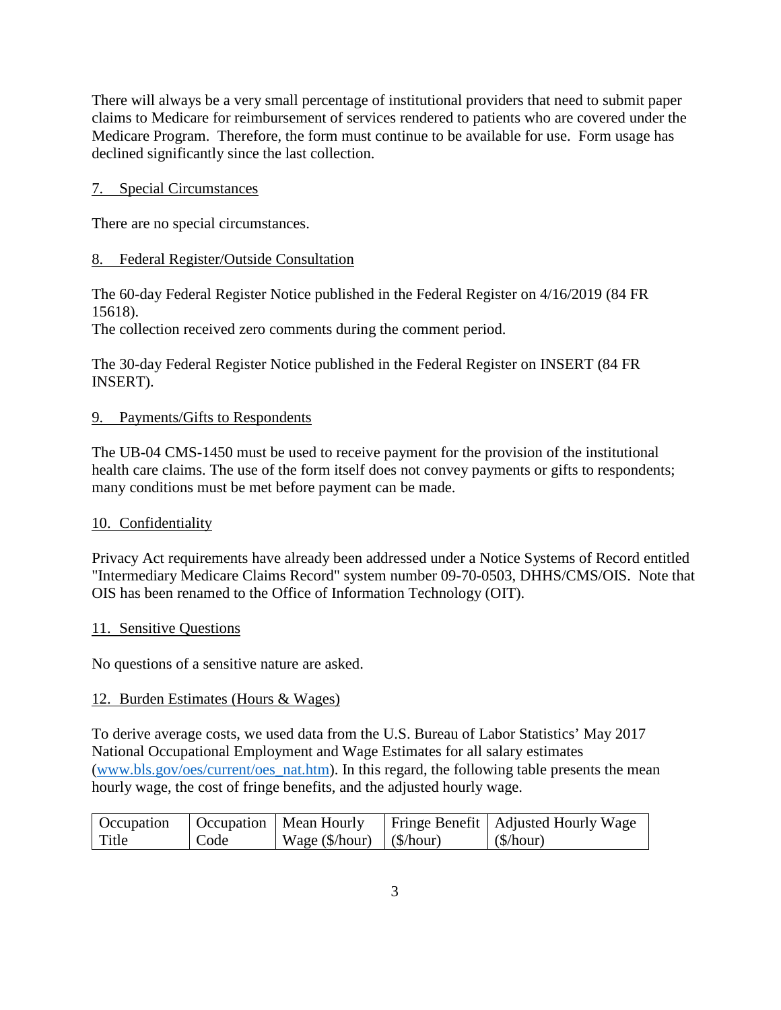There will always be a very small percentage of institutional providers that need to submit paper claims to Medicare for reimbursement of services rendered to patients who are covered under the Medicare Program. Therefore, the form must continue to be available for use. Form usage has declined significantly since the last collection.

## 7. Special Circumstances

There are no special circumstances.

## 8. Federal Register/Outside Consultation

The 60-day Federal Register Notice published in the Federal Register on 4/16/2019 (84 FR 15618).

The collection received zero comments during the comment period.

The 30-day Federal Register Notice published in the Federal Register on INSERT (84 FR INSERT).

#### 9. Payments/Gifts to Respondents

The UB-04 CMS-1450 must be used to receive payment for the provision of the institutional health care claims. The use of the form itself does not convey payments or gifts to respondents; many conditions must be met before payment can be made.

#### 10. Confidentiality

Privacy Act requirements have already been addressed under a Notice Systems of Record entitled "Intermediary Medicare Claims Record" system number 09-70-0503, DHHS/CMS/OIS. Note that OIS has been renamed to the Office of Information Technology (OIT).

#### 11. Sensitive Questions

No questions of a sensitive nature are asked.

#### 12. Burden Estimates (Hours & Wages)

To derive average costs, we used data from the U.S. Bureau of Labor Statistics' May 2017 National Occupational Employment and Wage Estimates for all salary estimates [\(www.bls.gov/oes/current/oes\\_nat.htm\)](http://www.bls.gov/oes/current/oes_nat.htm). In this regard, the following table presents the mean hourly wage, the cost of fringe benefits, and the adjusted hourly wage.

| <b>Occupation</b> |      |                                          | Occupation   Mean Hourly   Fringe Benefit   Adjusted Hourly Wage |
|-------------------|------|------------------------------------------|------------------------------------------------------------------|
| Title             | Code | $\vert$ Wage (\$/hour) $\vert$ (\$/hour) | $\int$ (\$/hour)                                                 |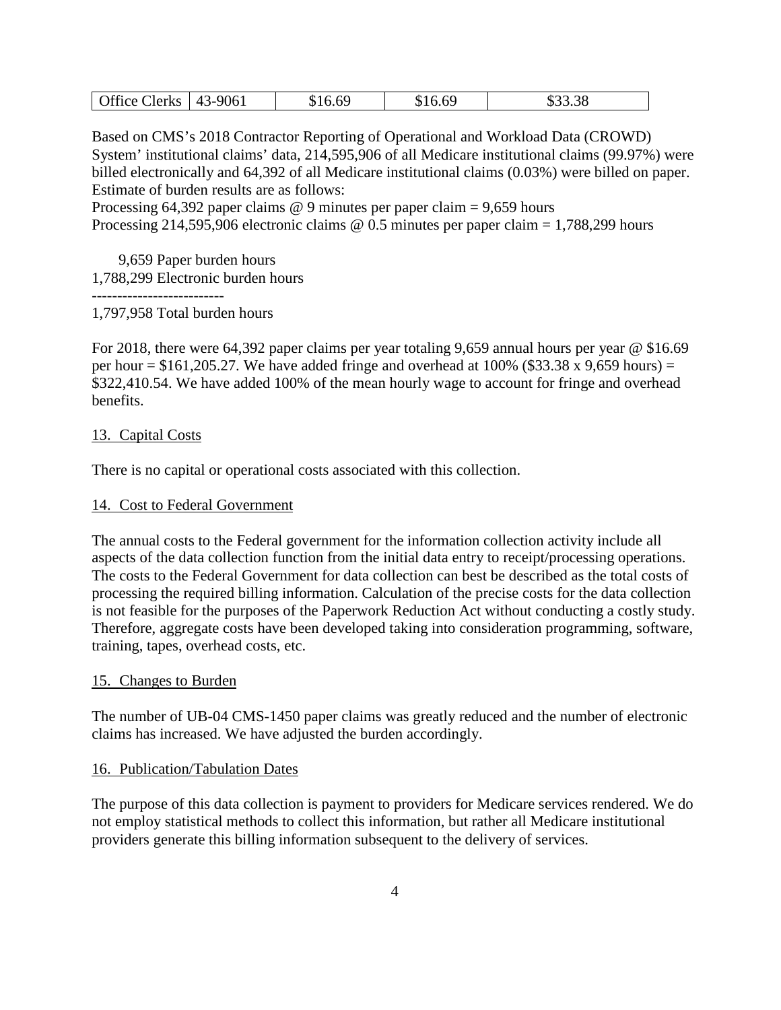| Office Clerks<br>43-9061<br>$\sqrt{16.69}$<br>\$16.69<br>٠D. |
|--------------------------------------------------------------|
|--------------------------------------------------------------|

Based on CMS's 2018 Contractor Reporting of Operational and Workload Data (CROWD) System' institutional claims' data, 214,595,906 of all Medicare institutional claims (99.97%) were billed electronically and 64,392 of all Medicare institutional claims (0.03%) were billed on paper. Estimate of burden results are as follows:

Processing 64,392 paper claims  $\omega$  9 minutes per paper claim = 9,659 hours Processing 214,595,906 electronic claims @ 0.5 minutes per paper claim = 1,788,299 hours

 9,659 Paper burden hours 1,788,299 Electronic burden hours

1,797,958 Total burden hours

For 2018, there were 64,392 paper claims per year totaling 9,659 annual hours per year @ \$16.69 per hour =  $$161,205.27$ . We have added fringe and overhead at 100% (\$33.38 x 9,659 hours) = \$322,410.54. We have added 100% of the mean hourly wage to account for fringe and overhead benefits.

#### 13. Capital Costs

There is no capital or operational costs associated with this collection.

## 14. Cost to Federal Government

The annual costs to the Federal government for the information collection activity include all aspects of the data collection function from the initial data entry to receipt/processing operations. The costs to the Federal Government for data collection can best be described as the total costs of processing the required billing information. Calculation of the precise costs for the data collection is not feasible for the purposes of the Paperwork Reduction Act without conducting a costly study. Therefore, aggregate costs have been developed taking into consideration programming, software, training, tapes, overhead costs, etc.

#### 15. Changes to Burden

The number of UB-04 CMS-1450 paper claims was greatly reduced and the number of electronic claims has increased. We have adjusted the burden accordingly.

#### 16. Publication/Tabulation Dates

The purpose of this data collection is payment to providers for Medicare services rendered. We do not employ statistical methods to collect this information, but rather all Medicare institutional providers generate this billing information subsequent to the delivery of services.